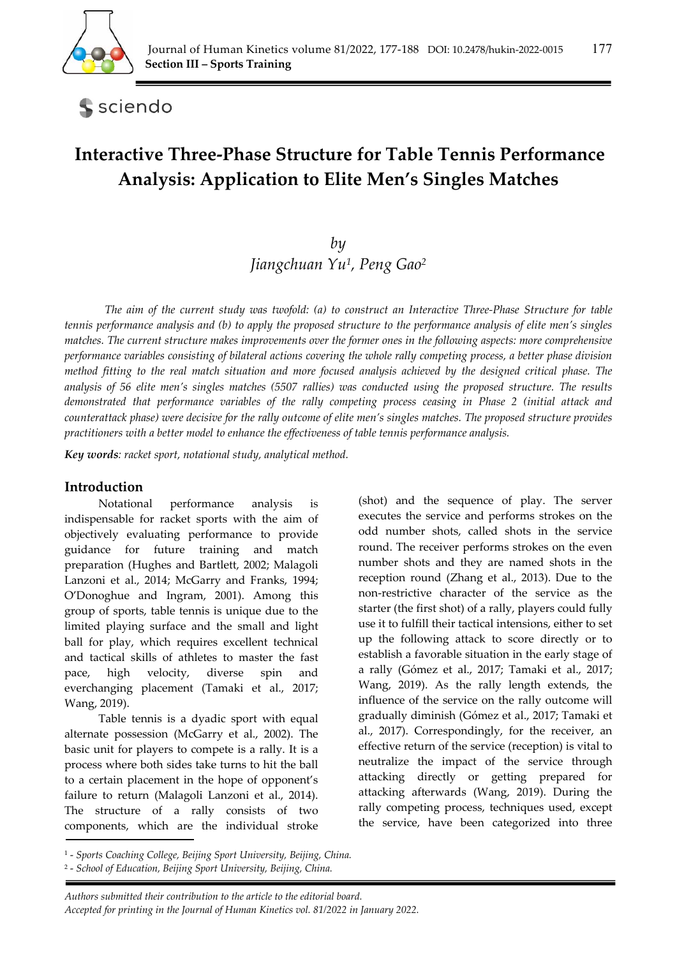

# sciendo

# **Interactive Three-Phase Structure for Table Tennis Performance Analysis: Application to Elite Men's Singles Matches**

# *by Jiangchuan Yu1, Peng Gao2*

*The aim of the current study was twofold: (a) to construct an Interactive Three-Phase Structure for table tennis performance analysis and (b) to apply the proposed structure to the performance analysis of elite men's singles matches. The current structure makes improvements over the former ones in the following aspects: more comprehensive performance variables consisting of bilateral actions covering the whole rally competing process, a better phase division method fitting to the real match situation and more focused analysis achieved by the designed critical phase. The analysis of 56 elite men's singles matches (5507 rallies) was conducted using the proposed structure. The results demonstrated that performance variables of the rally competing process ceasing in Phase 2 (initial attack and counterattack phase) were decisive for the rally outcome of elite men's singles matches. The proposed structure provides practitioners with a better model to enhance the effectiveness of table tennis performance analysis.* 

*Key words: racket sport, notational study, analytical method.* 

# **Introduction**

Notational performance analysis is indispensable for racket sports with the aim of objectively evaluating performance to provide guidance for future training and match preparation (Hughes and Bartlett, 2002; Malagoli Lanzoni et al., 2014; McGarry and Franks, 1994; O'Donoghue and Ingram, 2001). Among this group of sports, table tennis is unique due to the limited playing surface and the small and light ball for play, which requires excellent technical and tactical skills of athletes to master the fast pace, high velocity, diverse spin and everchanging placement (Tamaki et al., 2017; Wang, 2019).

Table tennis is a dyadic sport with equal alternate possession (McGarry et al., 2002). The basic unit for players to compete is a rally. It is a process where both sides take turns to hit the ball to a certain placement in the hope of opponent's failure to return (Malagoli Lanzoni et al., 2014). The structure of a rally consists of two components, which are the individual stroke (shot) and the sequence of play. The server executes the service and performs strokes on the odd number shots, called shots in the service round. The receiver performs strokes on the even number shots and they are named shots in the reception round (Zhang et al., 2013). Due to the non-restrictive character of the service as the starter (the first shot) of a rally, players could fully use it to fulfill their tactical intensions, either to set up the following attack to score directly or to establish a favorable situation in the early stage of a rally (Gómez et al., 2017; Tamaki et al., 2017; Wang, 2019). As the rally length extends, the influence of the service on the rally outcome will gradually diminish (Gómez et al., 2017; Tamaki et al., 2017). Correspondingly, for the receiver, an effective return of the service (reception) is vital to neutralize the impact of the service through attacking directly or getting prepared for attacking afterwards (Wang, 2019). During the rally competing process, techniques used, except the service, have been categorized into three

<sup>1 -</sup> *Sports Coaching College, Beijing Sport University, Beijing, China.* 

<sup>2 -</sup> *School of Education, Beijing Sport University, Beijing, China.*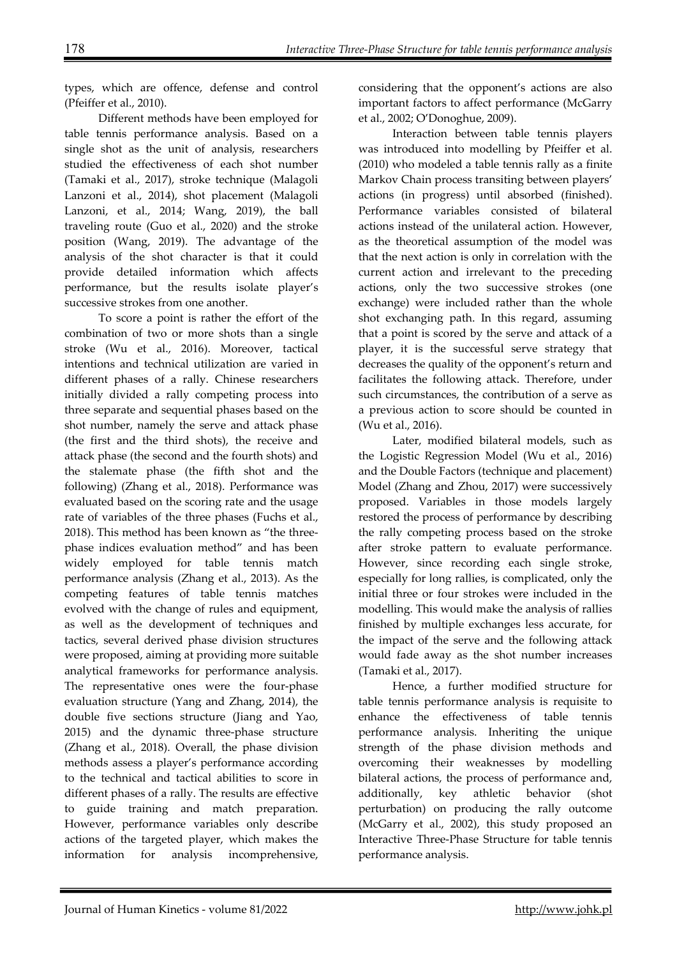types, which are offence, defense and control (Pfeiffer et al., 2010).

Different methods have been employed for table tennis performance analysis. Based on a single shot as the unit of analysis, researchers studied the effectiveness of each shot number (Tamaki et al., 2017), stroke technique (Malagoli Lanzoni et al., 2014), shot placement (Malagoli Lanzoni, et al., 2014; Wang, 2019), the ball traveling route (Guo et al., 2020) and the stroke position (Wang, 2019). The advantage of the analysis of the shot character is that it could provide detailed information which affects performance, but the results isolate player's successive strokes from one another.

To score a point is rather the effort of the combination of two or more shots than a single stroke (Wu et al., 2016). Moreover, tactical intentions and technical utilization are varied in different phases of a rally. Chinese researchers initially divided a rally competing process into three separate and sequential phases based on the shot number, namely the serve and attack phase (the first and the third shots), the receive and attack phase (the second and the fourth shots) and the stalemate phase (the fifth shot and the following) (Zhang et al., 2018). Performance was evaluated based on the scoring rate and the usage rate of variables of the three phases (Fuchs et al., 2018). This method has been known as "the threephase indices evaluation method" and has been widely employed for table tennis match performance analysis (Zhang et al., 2013). As the competing features of table tennis matches evolved with the change of rules and equipment, as well as the development of techniques and tactics, several derived phase division structures were proposed, aiming at providing more suitable analytical frameworks for performance analysis. The representative ones were the four-phase evaluation structure (Yang and Zhang, 2014), the double five sections structure (Jiang and Yao, 2015) and the dynamic three-phase structure (Zhang et al., 2018). Overall, the phase division methods assess a player's performance according to the technical and tactical abilities to score in different phases of a rally. The results are effective to guide training and match preparation. However, performance variables only describe actions of the targeted player, which makes the information for analysis incomprehensive,

considering that the opponent's actions are also important factors to affect performance (McGarry et al., 2002; O'Donoghue, 2009).

Interaction between table tennis players was introduced into modelling by Pfeiffer et al. (2010) who modeled a table tennis rally as a finite Markov Chain process transiting between players' actions (in progress) until absorbed (finished). Performance variables consisted of bilateral actions instead of the unilateral action. However, as the theoretical assumption of the model was that the next action is only in correlation with the current action and irrelevant to the preceding actions, only the two successive strokes (one exchange) were included rather than the whole shot exchanging path. In this regard, assuming that a point is scored by the serve and attack of a player, it is the successful serve strategy that decreases the quality of the opponent's return and facilitates the following attack. Therefore, under such circumstances, the contribution of a serve as a previous action to score should be counted in (Wu et al., 2016).

Later, modified bilateral models, such as the Logistic Regression Model (Wu et al., 2016) and the Double Factors (technique and placement) Model (Zhang and Zhou, 2017) were successively proposed. Variables in those models largely restored the process of performance by describing the rally competing process based on the stroke after stroke pattern to evaluate performance. However, since recording each single stroke, especially for long rallies, is complicated, only the initial three or four strokes were included in the modelling. This would make the analysis of rallies finished by multiple exchanges less accurate, for the impact of the serve and the following attack would fade away as the shot number increases (Tamaki et al., 2017).

Hence, a further modified structure for table tennis performance analysis is requisite to enhance the effectiveness of table tennis performance analysis. Inheriting the unique strength of the phase division methods and overcoming their weaknesses by modelling bilateral actions, the process of performance and, additionally, key athletic behavior (shot perturbation) on producing the rally outcome (McGarry et al., 2002), this study proposed an Interactive Three-Phase Structure for table tennis performance analysis.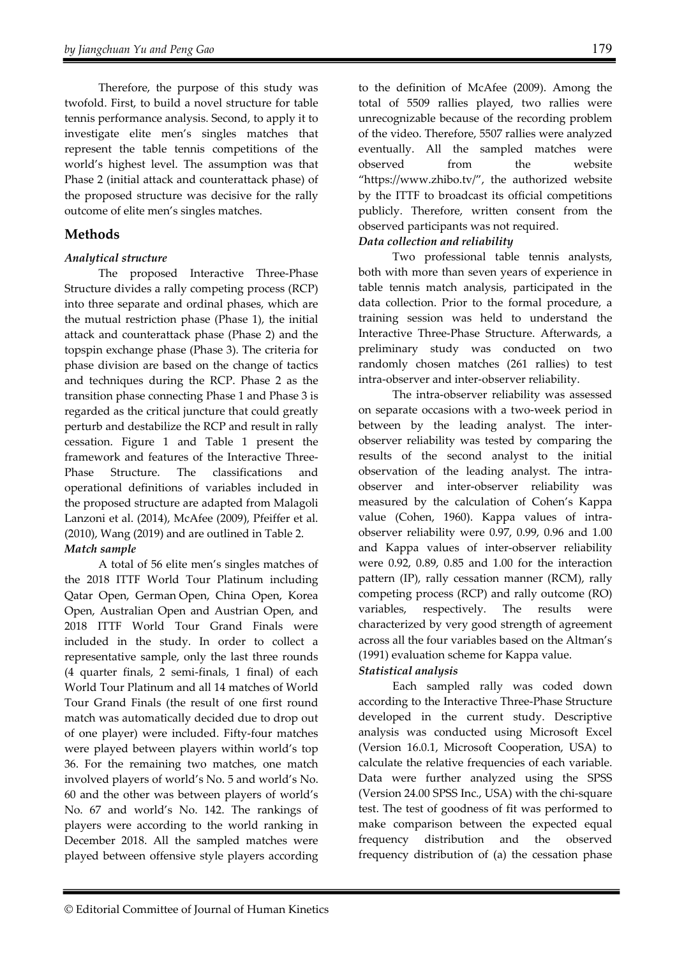Therefore, the purpose of this study was twofold. First, to build a novel structure for table tennis performance analysis. Second, to apply it to investigate elite men's singles matches that represent the table tennis competitions of the world's highest level. The assumption was that Phase 2 (initial attack and counterattack phase) of the proposed structure was decisive for the rally outcome of elite men's singles matches.

# **Methods**

# *Analytical structure*

The proposed Interactive Three-Phase Structure divides a rally competing process (RCP) into three separate and ordinal phases, which are the mutual restriction phase (Phase 1), the initial attack and counterattack phase (Phase 2) and the topspin exchange phase (Phase 3). The criteria for phase division are based on the change of tactics and techniques during the RCP. Phase 2 as the transition phase connecting Phase 1 and Phase 3 is regarded as the critical juncture that could greatly perturb and destabilize the RCP and result in rally cessation. Figure 1 and Table 1 present the framework and features of the Interactive Three-Phase Structure. The classifications and operational definitions of variables included in the proposed structure are adapted from Malagoli Lanzoni et al. (2014), McAfee (2009), Pfeiffer et al. (2010), Wang (2019) and are outlined in Table 2. *Match sample* 

A total of 56 elite men's singles matches of the 2018 ITTF World Tour Platinum including Qatar Open, German Open, China Open, Korea Open, Australian Open and Austrian Open, and 2018 ITTF World Tour Grand Finals were included in the study. In order to collect a representative sample, only the last three rounds (4 quarter finals, 2 semi-finals, 1 final) of each World Tour Platinum and all 14 matches of World Tour Grand Finals (the result of one first round match was automatically decided due to drop out of one player) were included. Fifty-four matches were played between players within world's top 36. For the remaining two matches, one match involved players of world's No. 5 and world's No. 60 and the other was between players of world's No. 67 and world's No. 142. The rankings of players were according to the world ranking in December 2018. All the sampled matches were played between offensive style players according

to the definition of McAfee (2009). Among the total of 5509 rallies played, two rallies were unrecognizable because of the recording problem of the video. Therefore, 5507 rallies were analyzed eventually. All the sampled matches were observed from the website "https://www.zhibo.tv/", the authorized website by the ITTF to broadcast its official competitions publicly. Therefore, written consent from the observed participants was not required.

# *Data collection and reliability*

Two professional table tennis analysts, both with more than seven years of experience in table tennis match analysis, participated in the data collection. Prior to the formal procedure, a training session was held to understand the Interactive Three-Phase Structure. Afterwards, a preliminary study was conducted on two randomly chosen matches (261 rallies) to test intra-observer and inter-observer reliability.

The intra-observer reliability was assessed on separate occasions with a two-week period in between by the leading analyst. The interobserver reliability was tested by comparing the results of the second analyst to the initial observation of the leading analyst. The intraobserver and inter-observer reliability was measured by the calculation of Cohen's Kappa value (Cohen, 1960). Kappa values of intraobserver reliability were 0.97, 0.99, 0.96 and 1.00 and Kappa values of inter-observer reliability were 0.92, 0.89, 0.85 and 1.00 for the interaction pattern (IP), rally cessation manner (RCM), rally competing process (RCP) and rally outcome (RO) variables, respectively. The results were characterized by very good strength of agreement across all the four variables based on the Altman's (1991) evaluation scheme for Kappa value.

# *Statistical analysis*

Each sampled rally was coded down according to the Interactive Three-Phase Structure developed in the current study. Descriptive analysis was conducted using Microsoft Excel (Version 16.0.1, Microsoft Cooperation, USA) to calculate the relative frequencies of each variable. Data were further analyzed using the SPSS (Version 24.00 SPSS Inc., USA) with the chi-square test. The test of goodness of fit was performed to make comparison between the expected equal frequency distribution and the observed frequency distribution of (a) the cessation phase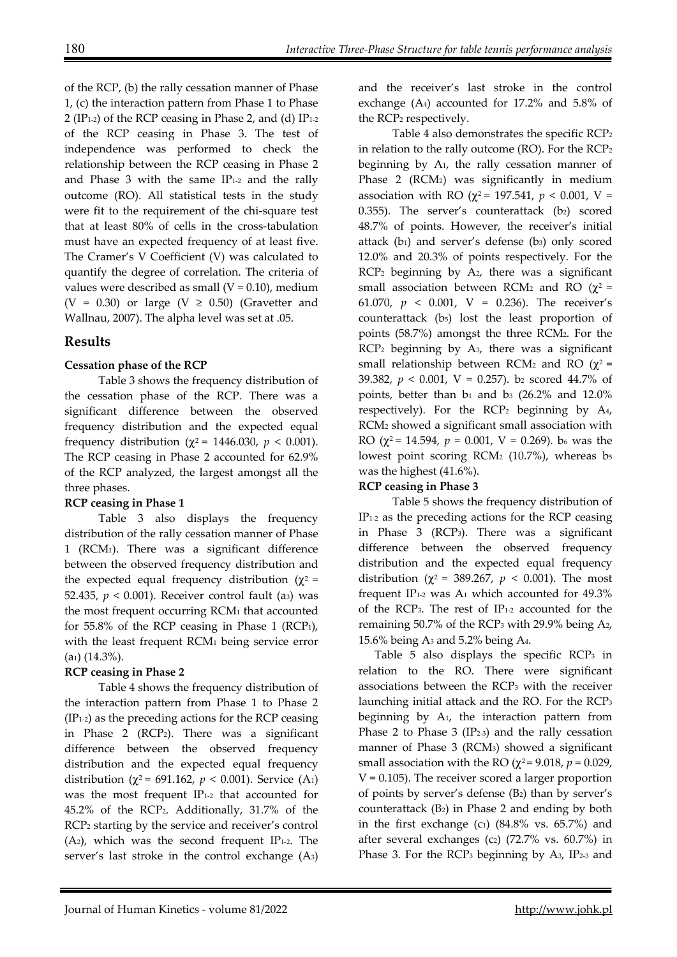of the RCP, (b) the rally cessation manner of Phase 1, (c) the interaction pattern from Phase 1 to Phase 2 (IP1-2) of the RCP ceasing in Phase 2, and (d) IP1-2 of the RCP ceasing in Phase 3. The test of independence was performed to check the relationship between the RCP ceasing in Phase 2 and Phase 3 with the same  $IP<sub>1-2</sub>$  and the rally outcome (RO). All statistical tests in the study were fit to the requirement of the chi-square test that at least 80% of cells in the cross-tabulation must have an expected frequency of at least five. The Cramer's V Coefficient (V) was calculated to quantify the degree of correlation. The criteria of values were described as small ( $V = 0.10$ ), medium (V = 0.30) or large (V  $\geq$  0.50) (Gravetter and Wallnau, 2007). The alpha level was set at .05.

# **Results**

# **Cessation phase of the RCP**

Table 3 shows the frequency distribution of the cessation phase of the RCP. There was a significant difference between the observed frequency distribution and the expected equal frequency distribution ( $χ$ <sup>2</sup> = 1446.030,  $p$  < 0.001). The RCP ceasing in Phase 2 accounted for 62.9% of the RCP analyzed, the largest amongst all the three phases.

# **RCP ceasing in Phase 1**

Table 3 also displays the frequency distribution of the rally cessation manner of Phase 1 (RCM1). There was a significant difference between the observed frequency distribution and the expected equal frequency distribution ( $χ² =$ 52.435,  $p < 0.001$ ). Receiver control fault (as) was the most frequent occurring RCM1 that accounted for 55.8% of the RCP ceasing in Phase 1 (RCP1), with the least frequent RCM1 being service error (a1) (14.3%).

# **RCP ceasing in Phase 2**

Table 4 shows the frequency distribution of the interaction pattern from Phase 1 to Phase 2  $(IP<sub>1-2</sub>)$  as the preceding actions for the RCP ceasing in Phase 2 (RCP2). There was a significant difference between the observed frequency distribution and the expected equal frequency distribution ( $\chi^2$  = 691.162,  $p < 0.001$ ). Service (A<sub>1</sub>) was the most frequent IP1-2 that accounted for 45.2% of the RCP2. Additionally, 31.7% of the RCP2 starting by the service and receiver's control  $(A<sub>2</sub>)$ , which was the second frequent IP<sub>1-2</sub>. The server's last stroke in the control exchange (A3)

and the receiver's last stroke in the control exchange (A4) accounted for 17.2% and 5.8% of the RCP2 respectively.

Table 4 also demonstrates the specific RCP2 in relation to the rally outcome (RO). For the RCP2 beginning by A1, the rally cessation manner of Phase 2 (RCM<sub>2</sub>) was significantly in medium association with RO ( $χ² = 197.541$ ,  $p < 0.001$ , V = 0.355). The server's counterattack  $(b_2)$  scored 48.7% of points. However, the receiver's initial attack  $(b_1)$  and server's defense  $(b_3)$  only scored 12.0% and 20.3% of points respectively. For the RCP2 beginning by A2, there was a significant small association between RCM<sub>2</sub> and RO ( $χ²$  = 61.070,  $p \le 0.001$ , V = 0.236). The receiver's counterattack (b5) lost the least proportion of points (58.7%) amongst the three RCM2. For the RCP2 beginning by A3, there was a significant small relationship between RCM<sub>2</sub> and RO ( $\chi^2$  = 39.382,  $p < 0.001$ ,  $V = 0.257$ ). b<sub>2</sub> scored 44.7% of points, better than  $b_1$  and  $b_3$  (26.2% and 12.0%) respectively). For the RCP<sub>2</sub> beginning by  $A_4$ , RCM2 showed a significant small association with RO ( $\chi^2$  = 14.594,  $p = 0.001$ , V = 0.269). b<sub>6</sub> was the lowest point scoring RCM2 (10.7%), whereas b5 was the highest (41.6%).

# **RCP ceasing in Phase 3**

Table 5 shows the frequency distribution of IP1-2 as the preceding actions for the RCP ceasing in Phase 3 (RCP3). There was a significant difference between the observed frequency distribution and the expected equal frequency distribution ( $\chi^2 = 389.267$ ,  $p < 0.001$ ). The most frequent IP<sub>1-2</sub> was  $A_1$  which accounted for  $49.3\%$ of the RCP3. The rest of IP1-2 accounted for the remaining 50.7% of the RCP3 with 29.9% being A2, 15.6% being A3 and 5.2% being A4.

Table 5 also displays the specific RCP<sub>3</sub> in relation to the RO. There were significant associations between the RCP3 with the receiver launching initial attack and the RO. For the RCP3 beginning by A1, the interaction pattern from Phase 2 to Phase 3  $(IP<sub>2-3</sub>)$  and the rally cessation manner of Phase 3 (RCM3) showed a significant small association with the RO ( $\chi^2$  = 9.018,  $p$  = 0.029,  $V = 0.105$ ). The receiver scored a larger proportion of points by server's defense (B2) than by server's counterattack  $(B_2)$  in Phase 2 and ending by both in the first exchange (c1)  $(84.8\% \text{ vs. } 65.7\%)$  and after several exchanges (c<sub>2</sub>) (72.7% vs.  $60.7\%$ ) in Phase 3. For the RCP<sub>3</sub> beginning by  $A_3$ , IP<sub>2-3</sub> and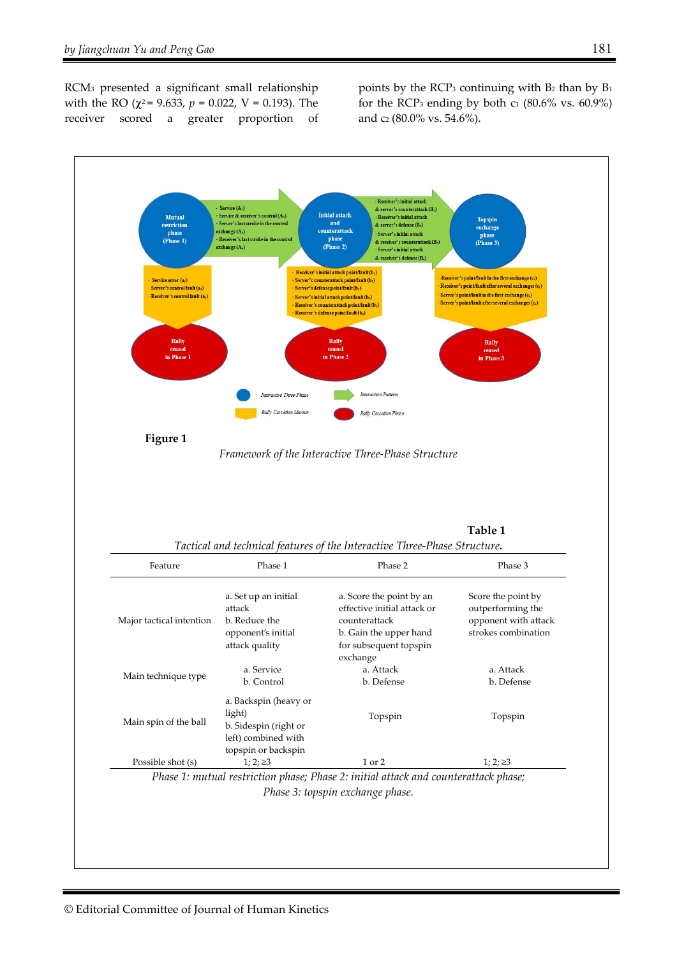RCM3 presented a significant small relationship with the RO ( $\chi^2$  = 9.633,  $p$  = 0.022, V = 0.193). The receiver scored a greater proportion of points by the  $RCP_3$  continuing with  $B_2$  than by  $B_1$ for the RCP<sub>3</sub> ending by both  $c_1$  (80.6% vs. 60.9%) and c2 (80.0% vs. 54.6%).

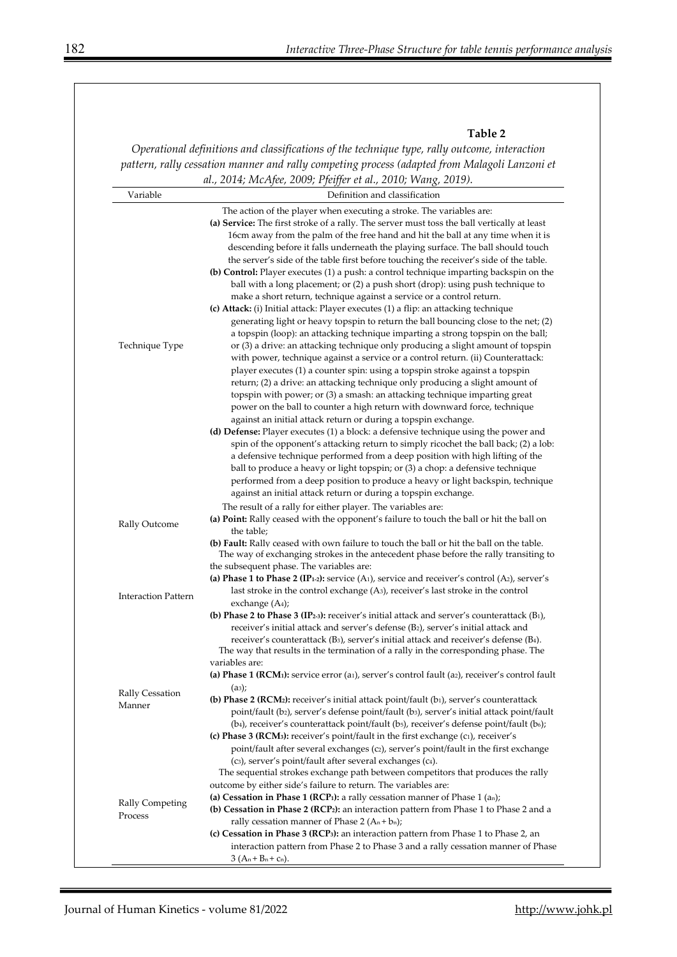#### **Table 2**

*Operational definitions and classifications of the technique type, rally outcome, interaction pattern, rally cessation manner and rally competing process (adapted from Malagoli Lanzoni et al., 2014; McAfee, 2009; Pfeiffer et al., 2010; Wang, 2019).* 

|                            | <i>ul., 2014, ivici yee, 2003, 1 jeyjer et ul., 2010, vvung, 2013).</i>                                                              |
|----------------------------|--------------------------------------------------------------------------------------------------------------------------------------|
| Variable                   | Definition and classification                                                                                                        |
|                            | The action of the player when executing a stroke. The variables are:                                                                 |
|                            | (a) Service: The first stroke of a rally. The server must toss the ball vertically at least                                          |
|                            | 16cm away from the palm of the free hand and hit the ball at any time when it is                                                     |
|                            | descending before it falls underneath the playing surface. The ball should touch                                                     |
|                            | the server's side of the table first before touching the receiver's side of the table.                                               |
|                            |                                                                                                                                      |
|                            | (b) Control: Player executes (1) a push: a control technique imparting backspin on the                                               |
|                            | ball with a long placement; or (2) a push short (drop): using push technique to                                                      |
|                            | make a short return, technique against a service or a control return.                                                                |
|                            | (c) Attack: (i) Initial attack: Player executes (1) a flip: an attacking technique                                                   |
|                            | generating light or heavy topspin to return the ball bouncing close to the net; (2)                                                  |
|                            | a topspin (loop): an attacking technique imparting a strong topspin on the ball;                                                     |
| Technique Type             | or (3) a drive: an attacking technique only producing a slight amount of topspin                                                     |
|                            | with power, technique against a service or a control return. (ii) Counterattack:                                                     |
|                            | player executes (1) a counter spin: using a topspin stroke against a topspin                                                         |
|                            | return; (2) a drive: an attacking technique only producing a slight amount of                                                        |
|                            | topspin with power; or (3) a smash: an attacking technique imparting great                                                           |
|                            | power on the ball to counter a high return with downward force, technique                                                            |
|                            | against an initial attack return or during a topspin exchange.                                                                       |
|                            | (d) Defense: Player executes (1) a block: a defensive technique using the power and                                                  |
|                            | spin of the opponent's attacking return to simply ricochet the ball back; (2) a lob:                                                 |
|                            | a defensive technique performed from a deep position with high lifting of the                                                        |
|                            | ball to produce a heavy or light topspin; or (3) a chop: a defensive technique                                                       |
|                            | performed from a deep position to produce a heavy or light backspin, technique                                                       |
|                            |                                                                                                                                      |
|                            | against an initial attack return or during a topspin exchange.                                                                       |
|                            | The result of a rally for either player. The variables are:                                                                          |
| Rally Outcome              | (a) Point: Rally ceased with the opponent's failure to touch the ball or hit the ball on                                             |
|                            | the table;                                                                                                                           |
|                            | (b) Fault: Rally ceased with own failure to touch the ball or hit the ball on the table.                                             |
|                            | The way of exchanging strokes in the antecedent phase before the rally transiting to                                                 |
|                            | the subsequent phase. The variables are:                                                                                             |
|                            | (a) Phase 1 to Phase 2 (IP <sub>1-2</sub> ): service (A <sub>1</sub> ), service and receiver's control (A <sub>2</sub> ), server's   |
| <b>Interaction Pattern</b> | last stroke in the control exchange (A <sub>3</sub> ), receiver's last stroke in the control                                         |
|                            | exchange $(A4)$ ;                                                                                                                    |
|                            | (b) Phase 2 to Phase 3 (IP <sub>2-3</sub> ): receiver's initial attack and server's counterattack (B <sub>1</sub> ),                 |
|                            | receiver's initial attack and server's defense (B2), server's initial attack and                                                     |
|                            | receiver's counterattack (B3), server's initial attack and receiver's defense (B4).                                                  |
|                            | The way that results in the termination of a rally in the corresponding phase. The                                                   |
|                            | variables are:                                                                                                                       |
|                            | (a) Phase 1 (RCM <sub>1</sub> ): service error (a <sub>1</sub> ), server's control fault (a <sub>2</sub> ), receiver's control fault |
| Rally Cessation            | $(a_3);$                                                                                                                             |
| Manner                     | (b) Phase 2 (RCM2): receiver's initial attack point/fault (b1), server's counterattack                                               |
|                            | point/fault (b2), server's defense point/fault (b3), server's initial attack point/fault                                             |
|                            | (b4), receiver's counterattack point/fault (b5), receiver's defense point/fault (b6);                                                |
|                            | (c) Phase 3 (RCM <sub>3</sub> ): receiver's point/fault in the first exchange (c1), receiver's                                       |
|                            | point/fault after several exchanges (c2), server's point/fault in the first exchange                                                 |
| Rally Competing            | (c3), server's point/fault after several exchanges (c4).                                                                             |
|                            | The sequential strokes exchange path between competitors that produces the rally                                                     |
|                            | outcome by either side's failure to return. The variables are:                                                                       |
|                            | (a) Cessation in Phase 1 (RCP1): a rally cessation manner of Phase $1$ (an);                                                         |
|                            | (b) Cessation in Phase 2 (RCP2): an interaction pattern from Phase 1 to Phase 2 and a                                                |
| Process                    | rally cessation manner of Phase 2 ( $A_n + b_n$ );                                                                                   |
|                            |                                                                                                                                      |
|                            | (c) Cessation in Phase 3 (RCP <sub>3</sub> ): an interaction pattern from Phase 1 to Phase 2, an                                     |
|                            | interaction pattern from Phase 2 to Phase 3 and a rally cessation manner of Phase                                                    |
|                            | $3(A_n+B_n+c_n)$ .                                                                                                                   |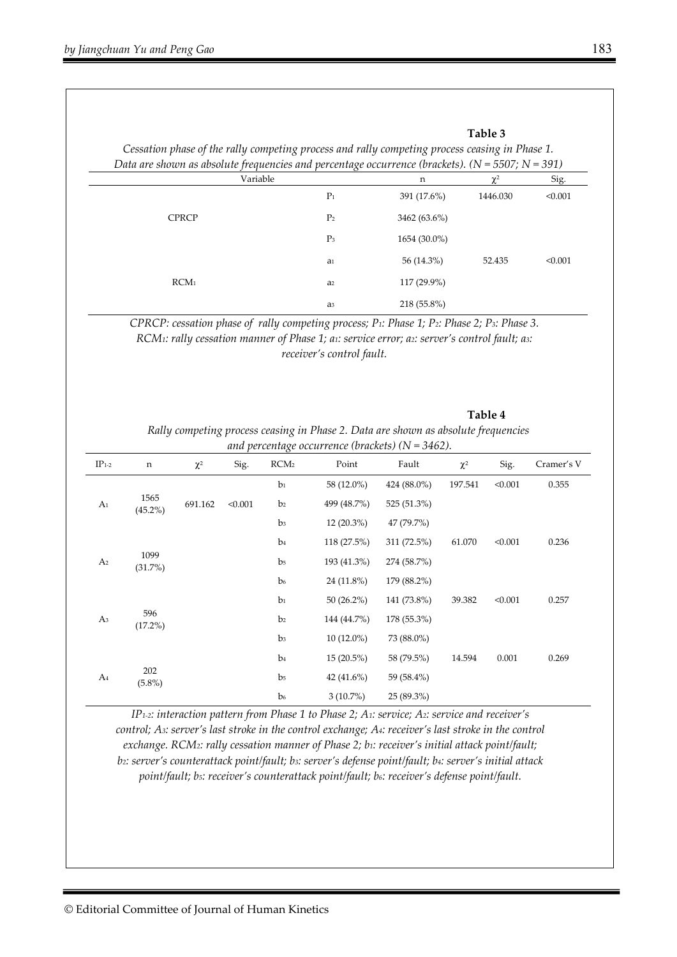#### **Table 3**

*Cessation phase of the rally competing process and rally competing process ceasing in Phase 1. Data are shown as absolute frequencies and percentage occurrence (brackets). (N = 5507; N = 391)* 

|                  | $\circ$<br>Variable | n            | $\sim$<br>$\overline{\phantom{a}}$<br>$\chi^2$ | $\overline{\phantom{a}}$<br>Sig. |
|------------------|---------------------|--------------|------------------------------------------------|----------------------------------|
|                  | P <sub>1</sub>      | 391 (17.6%)  | 1446.030                                       | < 0.001                          |
| <b>CPRCP</b>     | P <sub>2</sub>      | 3462 (63.6%) |                                                |                                  |
|                  | P <sub>3</sub>      | 1654 (30.0%) |                                                |                                  |
|                  | a <sub>1</sub>      | 56 (14.3%)   | 52.435                                         | < 0.001                          |
| RCM <sub>1</sub> | a <sub>2</sub>      | 117 (29.9%)  |                                                |                                  |
|                  | a <sub>3</sub>      | 218 (55.8%)  |                                                |                                  |

*CPRCP: cessation phase of rally competing process; P1: Phase 1; P2: Phase 2; P3: Phase 3. RCM1: rally cessation manner of Phase 1; a1: service error; a2: server's control fault; a3: receiver's control fault.* 

#### **Table 4**

*Rally competing process ceasing in Phase 2. Data are shown as absolute frequencies and percentage occurrence (brackets) (N = 3462).* 

| $IP_{1-2}$                         | $\mathbf n$        | $\chi^2$ | Sig.           | ັ<br>RCM <sub>2</sub> | Point        | Fault       | $\chi^2$ | Sig.    | Cramer's V |
|------------------------------------|--------------------|----------|----------------|-----------------------|--------------|-------------|----------|---------|------------|
|                                    |                    |          |                | b <sub>1</sub>        | 58 (12.0%)   | 424 (88.0%) | 197.541  | < 0.001 | 0.355      |
| A <sub>1</sub>                     | 1565<br>$(45.2\%)$ | 691.162  | < 0.001        | b <sub>2</sub>        | 499 (48.7%)  | 525 (51.3%) |          |         |            |
|                                    |                    |          |                | b <sub>3</sub>        | $12(20.3\%)$ | 47 (79.7%)  |          |         |            |
|                                    |                    |          |                | b <sub>4</sub>        | 118(27.5%)   | 311 (72.5%) | 61.070   | < 0.001 | 0.236      |
| A <sub>2</sub>                     | 1099<br>(31.7%)    |          |                | b <sub>5</sub>        | 193 (41.3%)  | 274 (58.7%) |          |         |            |
|                                    |                    |          |                | b <sub>6</sub>        | 24 (11.8%)   | 179 (88.2%) |          |         |            |
|                                    |                    |          |                | b <sub>1</sub>        | $50(26.2\%)$ | 141 (73.8%) | 39.382   | < 0.001 | 0.257      |
| A <sub>3</sub>                     | 596<br>$(17.2\%)$  |          |                | b <sub>2</sub>        | 144 (44.7%)  | 178 (55.3%) |          |         |            |
|                                    |                    |          |                | b <sub>3</sub>        | $10(12.0\%)$ | 73 (88.0%)  |          |         |            |
| 202<br>A <sub>4</sub><br>$(5.8\%)$ |                    |          | b <sub>4</sub> | $15(20.5\%)$          | 58 (79.5%)   | 14.594      | 0.001    | 0.269   |            |
|                                    |                    |          | b <sub>5</sub> | 42 $(41.6\%)$         | 59 (58.4%)   |             |          |         |            |
|                                    |                    |          |                | b <sub>6</sub>        | $3(10.7\%)$  | 25 (89.3%)  |          |         |            |

*IP1-2: interaction pattern from Phase 1 to Phase 2; A1: service; A2: service and receiver's control; A3: server's last stroke in the control exchange; A4: receiver's last stroke in the control exchange. RCM2: rally cessation manner of Phase 2; b1: receiver's initial attack point/fault; b2: server's counterattack point/fault; b3: server's defense point/fault; b4: server's initial attack*  point/fault; bs: receiver's counterattack point/fault; b6: receiver's defense point/fault.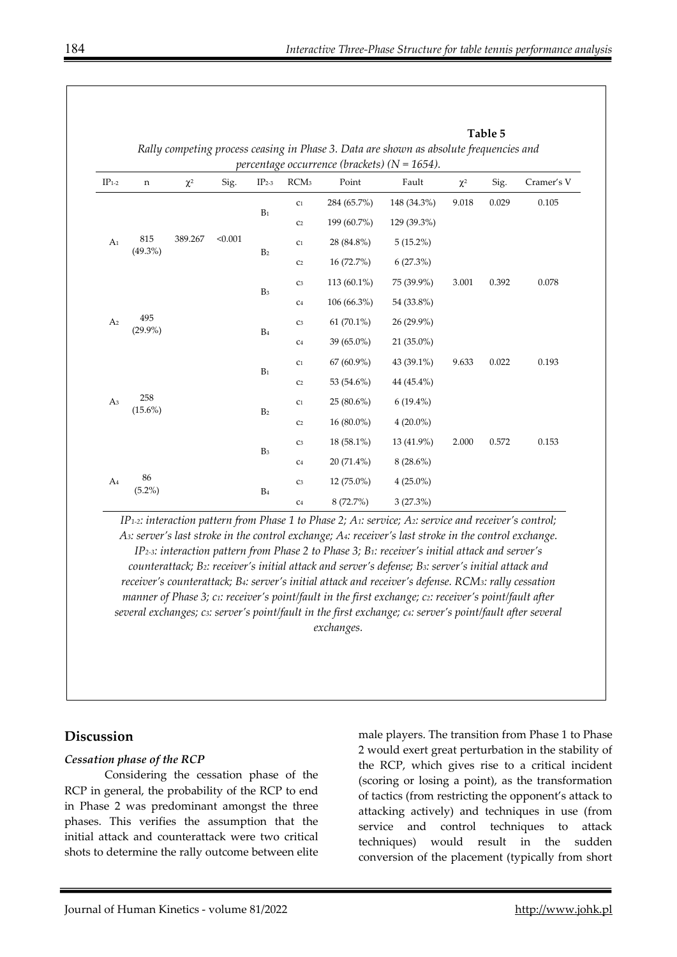|                          |                   |          |                |                |                  |                                                           | Table 5<br>Rally competing process ceasing in Phase 3. Data are shown as absolute frequencies and |          |       |            |
|--------------------------|-------------------|----------|----------------|----------------|------------------|-----------------------------------------------------------|---------------------------------------------------------------------------------------------------|----------|-------|------------|
| $\text{IP}_{1\text{-}2}$ | $\mathbf n$       | $\chi^2$ | Sig.           | $IP2-3$        | RCM <sub>3</sub> | percentage occurrence (brackets) ( $N = 1654$ ).<br>Point | Fault                                                                                             | $\chi^2$ | Sig.  | Cramer's V |
|                          |                   |          | $B_1$          | C1             | 284 (65.7%)      | 148 (34.3%)                                               | 9.018                                                                                             | 0.029    | 0.105 |            |
|                          |                   |          |                | C <sub>2</sub> | 199 (60.7%)      | 129 (39.3%)                                               |                                                                                                   |          |       |            |
| A <sub>1</sub>           | 815<br>$(49.3\%)$ | 389.267  | < 0.001        |                | C1               | 28 (84.8%)                                                | $5(15.2\%)$                                                                                       |          |       |            |
|                          |                   |          |                | B <sub>2</sub> | C <sub>2</sub>   | 16 (72.7%)                                                | 6(27.3%)                                                                                          |          |       |            |
|                          |                   |          |                |                | C <sub>3</sub>   | 113 (60.1%)                                               | 75 (39.9%)                                                                                        | 3.001    | 0.392 | 0.078      |
|                          |                   |          |                | B <sub>3</sub> | $\rm C4$         | $106(66.3\%)$                                             | 54 (33.8%)                                                                                        |          |       |            |
| A <sub>2</sub>           | 495<br>$(29.9\%)$ |          |                |                | $\rm C3$         | $61(70.1\%)$                                              | 26 (29.9%)                                                                                        |          |       |            |
|                          |                   |          | B <sub>4</sub> | $\rm C4$       | 39 (65.0%)       | 21 (35.0%)                                                |                                                                                                   |          |       |            |
|                          |                   |          |                | $B_1$          | C1               | 67 (60.9%)                                                | 43 (39.1%)                                                                                        | 9.633    | 0.022 | 0.193      |
|                          |                   |          |                |                | C <sub>2</sub>   | 53 (54.6%)                                                | 44 (45.4%)                                                                                        |          |       |            |
| A <sub>3</sub>           | 258<br>$(15.6\%)$ |          |                |                | C1               | $25(80.6\%)$                                              | $6(19.4\%)$                                                                                       |          |       |            |
|                          |                   |          | B <sub>2</sub> | C <sub>2</sub> | 16 (80.0%)       | $4(20.0\%)$                                               |                                                                                                   |          |       |            |
|                          |                   |          |                | C <sub>3</sub> | 18 (58.1%)       | 13 (41.9%)                                                | 2.000                                                                                             | 0.572    | 0.153 |            |
| 86<br>A <sub>4</sub>     |                   |          | B <sub>3</sub> | C <sub>4</sub> | 20 (71.4%)       | $8(28.6\%)$                                               |                                                                                                   |          |       |            |
|                          | $(5.2\%)$         |          |                | B <sub>4</sub> | $\rm C3$         | 12 (75.0%)                                                | $4(25.0\%)$                                                                                       |          |       |            |
|                          |                   |          |                |                | $\rm C4$         | 8(72.7%)                                                  | 3(27.3%)                                                                                          |          |       |            |

*IP1-2: interaction pattern from Phase 1 to Phase 2; A1: service; A2: service and receiver's control; A3: server's last stroke in the control exchange; A4: receiver's last stroke in the control exchange. IP2-3: interaction pattern from Phase 2 to Phase 3; B1: receiver's initial attack and server's counterattack; B2: receiver's initial attack and server's defense; B3: server's initial attack and receiver's counterattack; B4: server's initial attack and receiver's defense. RCM3: rally cessation manner of Phase 3; c1: receiver's point/fault in the first exchange; c2: receiver's point/fault after several exchanges; c3: server's point/fault in the first exchange; c4: server's point/fault after several exchanges.* 

# **Discussion**

#### *Cessation phase of the RCP*

Considering the cessation phase of the RCP in general, the probability of the RCP to end in Phase 2 was predominant amongst the three phases. This verifies the assumption that the initial attack and counterattack were two critical shots to determine the rally outcome between elite

male players. The transition from Phase 1 to Phase 2 would exert great perturbation in the stability of the RCP, which gives rise to a critical incident (scoring or losing a point), as the transformation of tactics (from restricting the opponent's attack to attacking actively) and techniques in use (from service and control techniques to attack techniques) would result in the sudden conversion of the placement (typically from short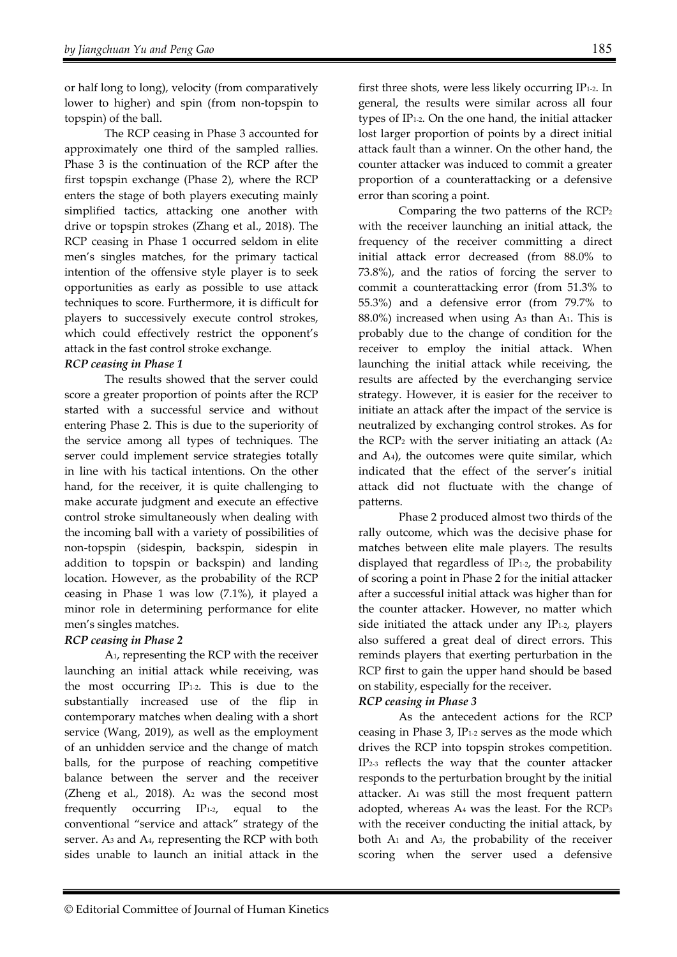or half long to long), velocity (from comparatively lower to higher) and spin (from non-topspin to topspin) of the ball.

The RCP ceasing in Phase 3 accounted for approximately one third of the sampled rallies. Phase 3 is the continuation of the RCP after the first topspin exchange (Phase 2), where the RCP enters the stage of both players executing mainly simplified tactics, attacking one another with drive or topspin strokes (Zhang et al., 2018). The RCP ceasing in Phase 1 occurred seldom in elite men's singles matches, for the primary tactical intention of the offensive style player is to seek opportunities as early as possible to use attack techniques to score. Furthermore, it is difficult for players to successively execute control strokes, which could effectively restrict the opponent's attack in the fast control stroke exchange.

### *RCP ceasing in Phase 1*

The results showed that the server could score a greater proportion of points after the RCP started with a successful service and without entering Phase 2. This is due to the superiority of the service among all types of techniques. The server could implement service strategies totally in line with his tactical intentions. On the other hand, for the receiver, it is quite challenging to make accurate judgment and execute an effective control stroke simultaneously when dealing with the incoming ball with a variety of possibilities of non-topspin (sidespin, backspin, sidespin in addition to topspin or backspin) and landing location. However, as the probability of the RCP ceasing in Phase 1 was low (7.1%), it played a minor role in determining performance for elite men's singles matches.

# *RCP ceasing in Phase 2*

A1, representing the RCP with the receiver launching an initial attack while receiving, was the most occurring IP1-2. This is due to the substantially increased use of the flip in contemporary matches when dealing with a short service (Wang, 2019), as well as the employment of an unhidden service and the change of match balls, for the purpose of reaching competitive balance between the server and the receiver (Zheng et al., 2018). A2 was the second most frequently occurring  $IP<sub>1-2</sub>$ , equal to the conventional "service and attack" strategy of the server. A3 and A4, representing the RCP with both sides unable to launch an initial attack in the

first three shots, were less likely occurring IP1-2. In general, the results were similar across all four types of IP1-2. On the one hand, the initial attacker lost larger proportion of points by a direct initial attack fault than a winner. On the other hand, the counter attacker was induced to commit a greater proportion of a counterattacking or a defensive error than scoring a point.

Comparing the two patterns of the RCP2 with the receiver launching an initial attack, the frequency of the receiver committing a direct initial attack error decreased (from 88.0% to 73.8%), and the ratios of forcing the server to commit a counterattacking error (from 51.3% to 55.3%) and a defensive error (from 79.7% to 88.0%) increased when using A3 than A1. This is probably due to the change of condition for the receiver to employ the initial attack. When launching the initial attack while receiving, the results are affected by the everchanging service strategy. However, it is easier for the receiver to initiate an attack after the impact of the service is neutralized by exchanging control strokes. As for the RCP<sub>2</sub> with the server initiating an attack  $(A<sub>2</sub>)$ and A4), the outcomes were quite similar, which indicated that the effect of the server's initial attack did not fluctuate with the change of patterns.

Phase 2 produced almost two thirds of the rally outcome, which was the decisive phase for matches between elite male players. The results displayed that regardless of IP1-2, the probability of scoring a point in Phase 2 for the initial attacker after a successful initial attack was higher than for the counter attacker. However, no matter which side initiated the attack under any  $IP<sub>1-2</sub>$ , players also suffered a great deal of direct errors. This reminds players that exerting perturbation in the RCP first to gain the upper hand should be based on stability, especially for the receiver.

# *RCP ceasing in Phase 3*

As the antecedent actions for the RCP ceasing in Phase 3, IP1-2 serves as the mode which drives the RCP into topspin strokes competition. IP2-3 reflects the way that the counter attacker responds to the perturbation brought by the initial attacker. A1 was still the most frequent pattern adopted, whereas A4 was the least. For the RCP3 with the receiver conducting the initial attack, by both  $A_1$  and  $A_3$ , the probability of the receiver scoring when the server used a defensive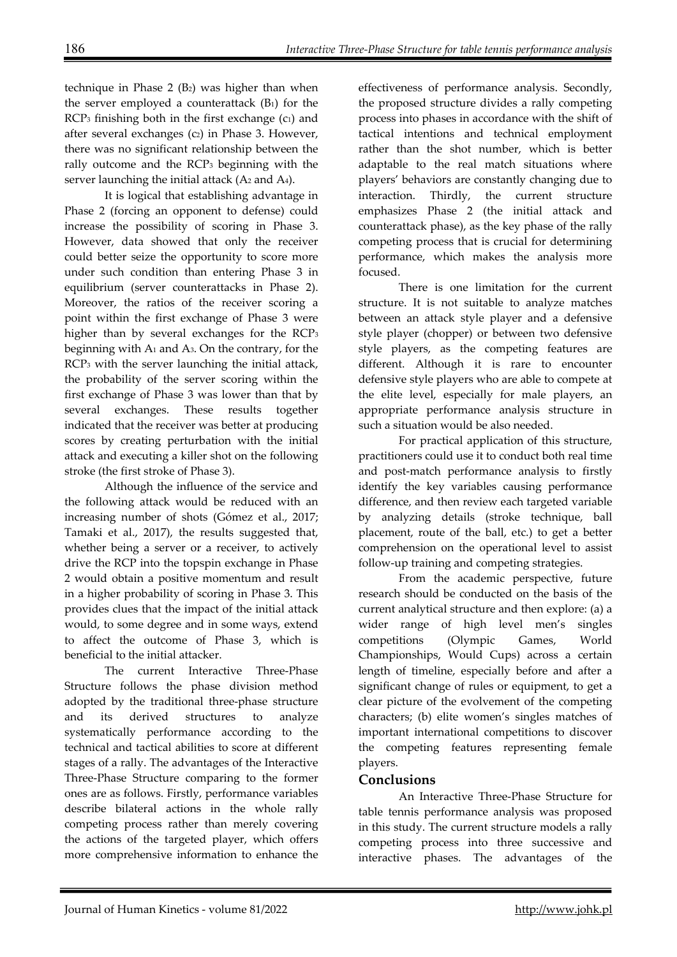technique in Phase  $2$  ( $B<sub>2</sub>$ ) was higher than when the server employed a counterattack  $(B_1)$  for the  $RCP<sub>3</sub>$  finishing both in the first exchange (c<sub>1</sub>) and after several exchanges (c2) in Phase 3. However, there was no significant relationship between the rally outcome and the RCP3 beginning with the server launching the initial attack (A<sub>2</sub> and A<sub>4</sub>).

It is logical that establishing advantage in Phase 2 (forcing an opponent to defense) could increase the possibility of scoring in Phase 3. However, data showed that only the receiver could better seize the opportunity to score more under such condition than entering Phase 3 in equilibrium (server counterattacks in Phase 2). Moreover, the ratios of the receiver scoring a point within the first exchange of Phase 3 were higher than by several exchanges for the RCP<sub>3</sub> beginning with A1 and A3. On the contrary, for the RCP3 with the server launching the initial attack, the probability of the server scoring within the first exchange of Phase 3 was lower than that by several exchanges. These results together indicated that the receiver was better at producing scores by creating perturbation with the initial attack and executing a killer shot on the following stroke (the first stroke of Phase 3).

Although the influence of the service and the following attack would be reduced with an increasing number of shots (Gómez et al., 2017; Tamaki et al., 2017), the results suggested that, whether being a server or a receiver, to actively drive the RCP into the topspin exchange in Phase 2 would obtain a positive momentum and result in a higher probability of scoring in Phase 3. This provides clues that the impact of the initial attack would, to some degree and in some ways, extend to affect the outcome of Phase 3, which is beneficial to the initial attacker.

The current Interactive Three-Phase Structure follows the phase division method adopted by the traditional three-phase structure and its derived structures to analyze systematically performance according to the technical and tactical abilities to score at different stages of a rally. The advantages of the Interactive Three-Phase Structure comparing to the former ones are as follows. Firstly, performance variables describe bilateral actions in the whole rally competing process rather than merely covering the actions of the targeted player, which offers more comprehensive information to enhance the

effectiveness of performance analysis. Secondly, the proposed structure divides a rally competing process into phases in accordance with the shift of tactical intentions and technical employment rather than the shot number, which is better adaptable to the real match situations where players' behaviors are constantly changing due to interaction. Thirdly, the current structure emphasizes Phase 2 (the initial attack and counterattack phase), as the key phase of the rally competing process that is crucial for determining performance, which makes the analysis more focused.

There is one limitation for the current structure. It is not suitable to analyze matches between an attack style player and a defensive style player (chopper) or between two defensive style players, as the competing features are different. Although it is rare to encounter defensive style players who are able to compete at the elite level, especially for male players, an appropriate performance analysis structure in such a situation would be also needed.

For practical application of this structure, practitioners could use it to conduct both real time and post-match performance analysis to firstly identify the key variables causing performance difference, and then review each targeted variable by analyzing details (stroke technique, ball placement, route of the ball, etc.) to get a better comprehension on the operational level to assist follow-up training and competing strategies.

From the academic perspective, future research should be conducted on the basis of the current analytical structure and then explore: (a) a wider range of high level men's singles competitions (Olympic Games, World Championships, Would Cups) across a certain length of timeline, especially before and after a significant change of rules or equipment, to get a clear picture of the evolvement of the competing characters; (b) elite women's singles matches of important international competitions to discover the competing features representing female players.

# **Conclusions**

An Interactive Three-Phase Structure for table tennis performance analysis was proposed in this study. The current structure models a rally competing process into three successive and interactive phases. The advantages of the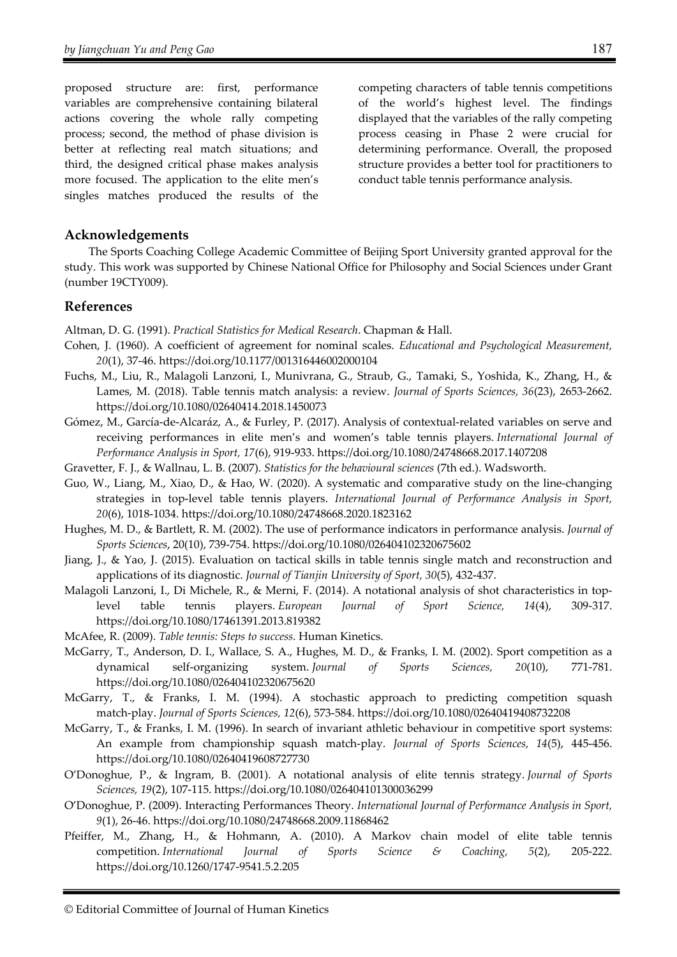proposed structure are: first, performance variables are comprehensive containing bilateral actions covering the whole rally competing process; second, the method of phase division is better at reflecting real match situations; and third, the designed critical phase makes analysis more focused. The application to the elite men's singles matches produced the results of the competing characters of table tennis competitions of the world's highest level. The findings displayed that the variables of the rally competing process ceasing in Phase 2 were crucial for determining performance. Overall, the proposed structure provides a better tool for practitioners to conduct table tennis performance analysis.

#### **Acknowledgements**

The Sports Coaching College Academic Committee of Beijing Sport University granted approval for the study. This work was supported by Chinese National Office for Philosophy and Social Sciences under Grant (number 19CTY009).

#### **References**

Altman, D. G. (1991). *Practical Statistics for Medical Research*. Chapman & Hall.

- Cohen, J. (1960). A coefficient of agreement for nominal scales. *Educational and Psychological Measurement, 20*(1), 37-46. https://doi.org/10.1177/001316446002000104
- Fuchs, M., Liu, R., Malagoli Lanzoni, I., Munivrana, G., Straub, G., Tamaki, S., Yoshida, K., Zhang, H., & Lames, M. (2018). Table tennis match analysis: a review. *Journal of Sports Sciences, 36*(23), 2653-2662. https://doi.org/10.1080/02640414.2018.1450073
- Gómez, M., García-de-Alcaráz, A., & Furley, P. (2017). Analysis of contextual-related variables on serve and receiving performances in elite men's and women's table tennis players. *International Journal of Performance Analysis in Sport, 17*(6), 919-933. https://doi.org/10.1080/24748668.2017.1407208
- Gravetter, F. J., & Wallnau, L. B. (2007). *Statistics for the behavioural sciences* (7th ed.). Wadsworth.
- Guo, W., Liang, M., Xiao, D., & Hao, W. (2020). A systematic and comparative study on the line-changing strategies in top-level table tennis players. *International Journal of Performance Analysis in Sport, 20*(6), 1018-1034. https://doi.org/10.1080/24748668.2020.1823162
- Hughes, M. D., & Bartlett, R. M. (2002). The use of performance indicators in performance analysis. *Journal of Sports Sciences*, 20(10), 739-754. https://doi.org/10.1080/026404102320675602
- Jiang, J., & Yao, J. (2015). Evaluation on tactical skills in table tennis single match and reconstruction and applications of its diagnostic. *Journal of Tianjin University of Sport, 30*(5), 432-437.
- Malagoli Lanzoni, I., Di Michele, R., & Merni, F. (2014). A notational analysis of shot characteristics in toplevel table tennis players. *European Journal of Sport Science, 14*(4), 309-317. https://doi.org/10.1080/17461391.2013.819382
- McAfee, R. (2009). *Table tennis: Steps to success*. Human Kinetics.
- McGarry, T., Anderson, D. I., Wallace, S. A., Hughes, M. D., & Franks, I. M. (2002). Sport competition as a dynamical self-organizing system. *Journal of Sports Sciences, 20*(10), 771-781. https://doi.org/10.1080/026404102320675620
- McGarry, T., & Franks, I. M. (1994). A stochastic approach to predicting competition squash match-play. *Journal of Sports Sciences, 12*(6), 573-584. https://doi.org/10.1080/02640419408732208
- McGarry, T., & Franks, I. M. (1996). In search of invariant athletic behaviour in competitive sport systems: An example from championship squash match-play. *Journal of Sports Sciences, 14*(5), 445-456. https://doi.org/10.1080/02640419608727730
- O'Donoghue, P., & Ingram, B. (2001). A notational analysis of elite tennis strategy. *Journal of Sports Sciences, 19*(2), 107-115. https://doi.org/10.1080/026404101300036299
- O'Donoghue, P. (2009). Interacting Performances Theory. *International Journal of Performance Analysis in Sport, 9*(1), 26-46. https://doi.org/10.1080/24748668.2009.11868462
- Pfeiffer, M., Zhang, H., & Hohmann, A. (2010). A Markov chain model of elite table tennis competition. *International Journal of Sports Science & Coaching, 5*(2), 205-222. https://doi.org/10.1260/1747-9541.5.2.205

<sup>©</sup> Editorial Committee of Journal of Human Kinetics